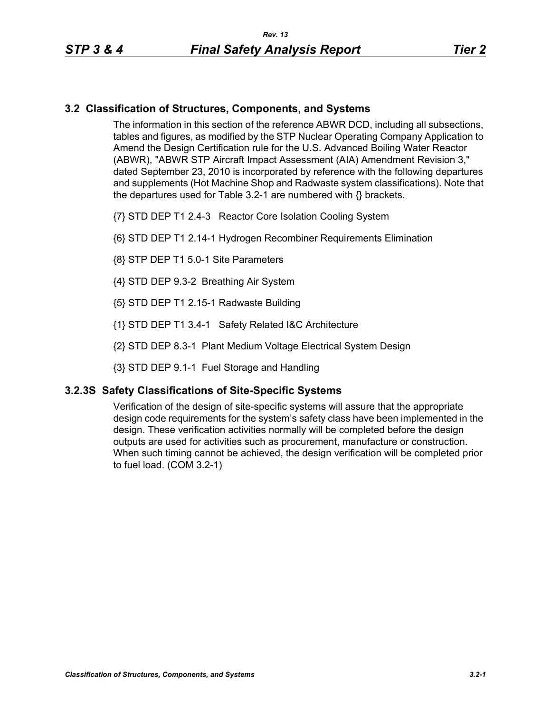## **3.2 Classification of Structures, Components, and Systems**

The information in this section of the reference ABWR DCD, including all subsections, tables and figures, as modified by the STP Nuclear Operating Company Application to Amend the Design Certification rule for the U.S. Advanced Boiling Water Reactor (ABWR), "ABWR STP Aircraft Impact Assessment (AIA) Amendment Revision 3," dated September 23, 2010 is incorporated by reference with the following departures and supplements (Hot Machine Shop and Radwaste system classifications). Note that the departures used for Table 3.2-1 are numbered with {} brackets.

- {7} STD DEP T1 2.4-3 Reactor Core Isolation Cooling System
- {6} STD DEP T1 2.14-1 Hydrogen Recombiner Requirements Elimination
- {8} STP DEP T1 5.0-1 Site Parameters
- {4} STD DEP 9.3-2 Breathing Air System
- {5} STD DEP T1 2.15-1 Radwaste Building
- {1} STD DEP T1 3.4-1 Safety Related I&C Architecture
- {2} STD DEP 8.3-1 Plant Medium Voltage Electrical System Design
- {3} STD DEP 9.1-1 Fuel Storage and Handling

## **3.2.3S Safety Classifications of Site-Specific Systems**

Verification of the design of site-specific systems will assure that the appropriate design code requirements for the system's safety class have been implemented in the design. These verification activities normally will be completed before the design outputs are used for activities such as procurement, manufacture or construction. When such timing cannot be achieved, the design verification will be completed prior to fuel load. (COM 3.2-1)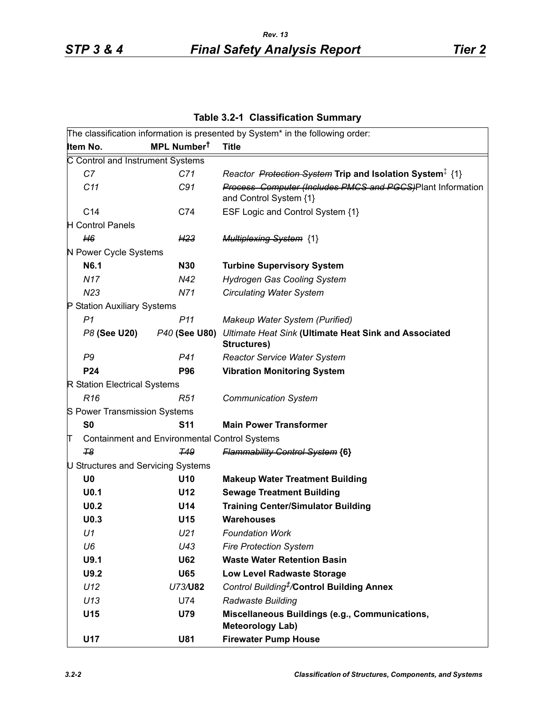**Table 3.2-1 Classification Summary**

|                                    |                                                      | The classification information is presented by System* in the following order:       |
|------------------------------------|------------------------------------------------------|--------------------------------------------------------------------------------------|
| Item No.                           | MPL Number <sup>t</sup>                              | <b>Title</b>                                                                         |
| C Control and Instrument Systems   |                                                      |                                                                                      |
| C7                                 | C71                                                  | Reactor Protection System Trip and Isolation System <sup>‡</sup> {1}                 |
| C11                                | C91                                                  | Process Computer (Includes PMCS and PGCS)Plant Information<br>and Control System {1} |
| C <sub>14</sub>                    | C74                                                  | ESF Logic and Control System {1}                                                     |
| H Control Panels                   |                                                      |                                                                                      |
| H6                                 | H <sub>23</sub>                                      | <b>Multiplexing System {1}</b>                                                       |
| N Power Cycle Systems              |                                                      |                                                                                      |
| N6.1                               | <b>N30</b>                                           | <b>Turbine Supervisory System</b>                                                    |
| N <sub>17</sub>                    | N42                                                  | <b>Hydrogen Gas Cooling System</b>                                                   |
| N23                                | N71                                                  | <b>Circulating Water System</b>                                                      |
| P Station Auxiliary Systems        |                                                      |                                                                                      |
| P <sub>1</sub>                     | P <sub>11</sub>                                      | Makeup Water System (Purified)                                                       |
| P8 (See U20)                       | P40 (See U80)                                        | Ultimate Heat Sink (Ultimate Heat Sink and Associated<br>Structures)                 |
| P <sub>9</sub>                     | P41                                                  | <b>Reactor Service Water System</b>                                                  |
| P24                                | <b>P96</b>                                           | <b>Vibration Monitoring System</b>                                                   |
| R Station Electrical Systems       |                                                      |                                                                                      |
| R <sub>16</sub>                    | R51                                                  | <b>Communication System</b>                                                          |
| S Power Transmission Systems       |                                                      |                                                                                      |
| S <sub>0</sub>                     | <b>S11</b>                                           | <b>Main Power Transformer</b>                                                        |
| П                                  | <b>Containment and Environmental Control Systems</b> |                                                                                      |
| $\tau$ <sub>8</sub>                | <b>T49</b>                                           | <b>Flammability Control System {6}</b>                                               |
| U Structures and Servicing Systems |                                                      |                                                                                      |
| U <sub>0</sub>                     | U <sub>10</sub>                                      | <b>Makeup Water Treatment Building</b>                                               |
| U <sub>0.1</sub>                   | U12                                                  | <b>Sewage Treatment Building</b>                                                     |
| U <sub>0.2</sub>                   | U14                                                  | <b>Training Center/Simulator Building</b>                                            |
| U <sub>0.3</sub>                   | U15                                                  | <b>Warehouses</b>                                                                    |
| U1                                 | U21                                                  | <b>Foundation Work</b>                                                               |
| U6                                 | U43                                                  | <b>Fire Protection System</b>                                                        |
| U9.1                               | <b>U62</b>                                           | <b>Waste Water Retention Basin</b>                                                   |
| U9.2                               | <b>U65</b>                                           | <b>Low Level Radwaste Storage</b>                                                    |
| U12                                | U73/U82                                              | Control Building <sup>#</sup> /Control Building Annex                                |
| U13                                | U74                                                  | Radwaste Building                                                                    |
| U15                                | <b>U79</b>                                           | Miscellaneous Buildings (e.g., Communications,<br><b>Meteorology Lab)</b>            |
| <b>U17</b>                         | <b>U81</b>                                           | <b>Firewater Pump House</b>                                                          |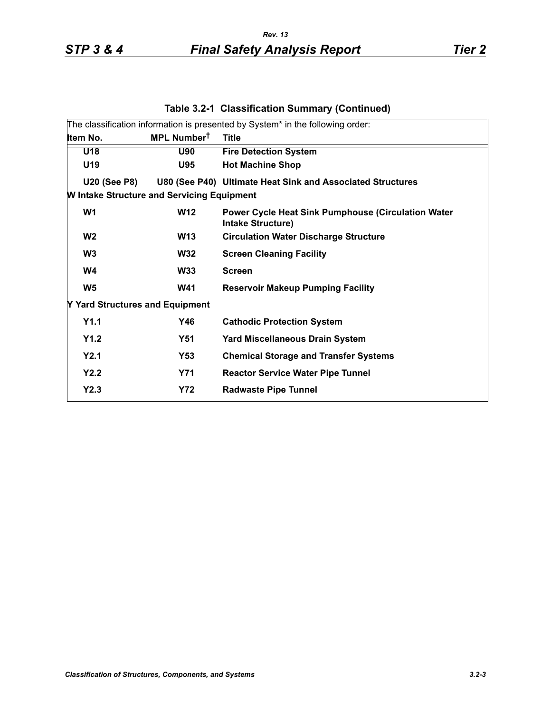|                                                   | The classification information is presented by System* in the following order:        |
|---------------------------------------------------|---------------------------------------------------------------------------------------|
| MPL Number <sup>t</sup>                           | <b>Title</b>                                                                          |
| <b>U90</b>                                        | <b>Fire Detection System</b>                                                          |
| U95                                               | <b>Hot Machine Shop</b>                                                               |
|                                                   | U80 (See P40) Ultimate Heat Sink and Associated Structures                            |
| <b>W Intake Structure and Servicing Equipment</b> |                                                                                       |
| <b>W12</b>                                        | <b>Power Cycle Heat Sink Pumphouse (Circulation Water</b><br><b>Intake Structure)</b> |
| <b>W13</b>                                        | <b>Circulation Water Discharge Structure</b>                                          |
| <b>W32</b>                                        | <b>Screen Cleaning Facility</b>                                                       |
| <b>W33</b>                                        | <b>Screen</b>                                                                         |
| <b>W41</b>                                        | <b>Reservoir Makeup Pumping Facility</b>                                              |
| Y Yard Structures and Equipment                   |                                                                                       |
| Y46                                               | <b>Cathodic Protection System</b>                                                     |
| <b>Y51</b>                                        | <b>Yard Miscellaneous Drain System</b>                                                |
| Y53                                               | <b>Chemical Storage and Transfer Systems</b>                                          |
| <b>Y71</b>                                        | <b>Reactor Service Water Pipe Tunnel</b>                                              |
| <b>Y72</b>                                        | <b>Radwaste Pipe Tunnel</b>                                                           |
|                                                   |                                                                                       |

## **Table 3.2-1 Classification Summary (Continued)**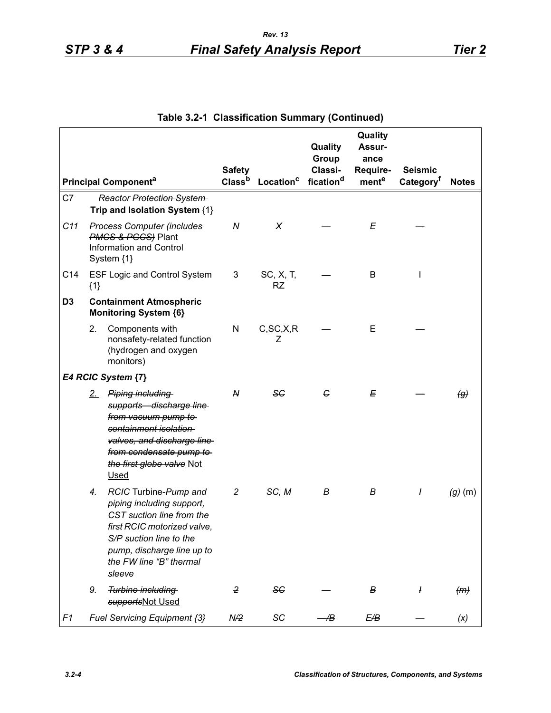|                |       |                                                                                                                                                                                                              | <b>Safety</b>      |                        | Quality<br>Group<br>Classi- | Quality<br>Assur-<br>ance<br>Require- | <b>Seismic</b>        |                   |
|----------------|-------|--------------------------------------------------------------------------------------------------------------------------------------------------------------------------------------------------------------|--------------------|------------------------|-----------------------------|---------------------------------------|-----------------------|-------------------|
|                |       | <b>Principal Componenta</b>                                                                                                                                                                                  | Class <sup>b</sup> | Location <sup>c</sup>  | fication <sup>d</sup>       | mente                                 | Category <sup>t</sup> | <b>Notes</b>      |
| C7             |       | <b>Reactor Protection System</b><br>Trip and Isolation System {1}                                                                                                                                            |                    |                        |                             |                                       |                       |                   |
| C11            |       | <b>Process Computer (includes</b><br><b>PMCS &amp; PGCS</b> ) Plant<br>Information and Control<br>System {1}                                                                                                 | $\boldsymbol{N}$   | X                      |                             | E                                     |                       |                   |
| C14            | ${1}$ | <b>ESF Logic and Control System</b>                                                                                                                                                                          | 3                  | SC, X, T,<br><b>RZ</b> |                             | B                                     |                       |                   |
| D <sub>3</sub> |       | <b>Containment Atmospheric</b><br><b>Monitoring System {6}</b>                                                                                                                                               |                    |                        |                             |                                       |                       |                   |
|                | 2.    | Components with<br>nonsafety-related function<br>(hydrogen and oxygen<br>monitors)                                                                                                                           | N                  | C, SC, X, R<br>Ζ       |                             | Е                                     |                       |                   |
|                |       | E4 RCIC System {7}                                                                                                                                                                                           |                    |                        |                             |                                       |                       |                   |
|                | 2     | Piping including<br>supports discharge line<br>from vacuum pump to<br>containment isolation<br>valves, and discharge line<br>from condensate pump to<br>the first globe valve Not<br><b>Used</b>             | N                  | 56                     | G                           | E                                     |                       | $\left( g\right)$ |
|                | 4.    | RCIC Turbine-Pump and<br>piping including support,<br>CST suction line from the<br>first RCIC motorized valve,<br>S/P suction line to the<br>pump, discharge line up to<br>the FW line "B" thermal<br>sleeve | $\overline{c}$     | SC, M                  | В                           | В                                     | I                     | $(g)$ (m)         |
|                | 9.    | Turbine including<br>supportsNot Used                                                                                                                                                                        | 2                  | <b>SC</b>              |                             | В                                     | ł                     | (m)               |
| F <sub>1</sub> |       | Fuel Servicing Equipment {3}                                                                                                                                                                                 | N/2                | SC                     | Æ                           | E/B                                   |                       | (x)               |

**Table 3.2-1 Classification Summary (Continued)**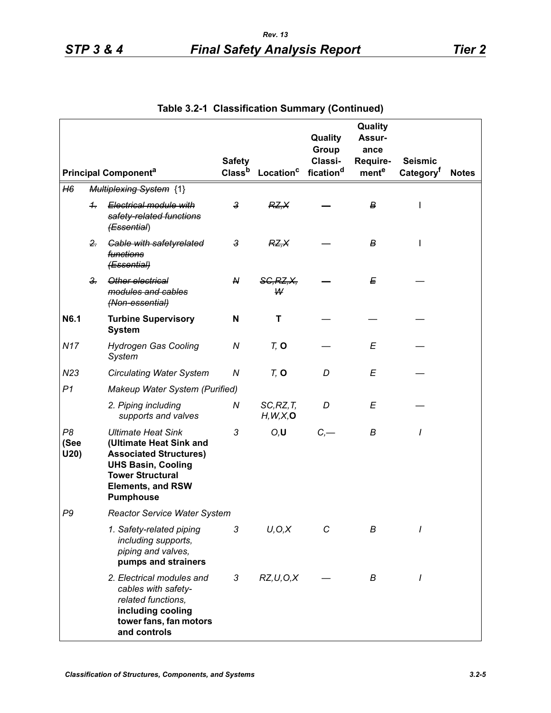|                                |                             |                                                                                                                                                                                               | <b>Safety</b>           |                         | Quality<br>Group<br>Classi- | Quality<br>Assur-<br>ance<br>Require- | <b>Seismic</b>        |              |
|--------------------------------|-----------------------------|-----------------------------------------------------------------------------------------------------------------------------------------------------------------------------------------------|-------------------------|-------------------------|-----------------------------|---------------------------------------|-----------------------|--------------|
|                                | <b>Principal Componenta</b> |                                                                                                                                                                                               | Class <sup>b</sup>      | Location <sup>c</sup>   | fication <sup>d</sup>       | mente                                 | Category <sup>†</sup> | <b>Notes</b> |
| H6                             |                             | <b>Multiplexing System {1}</b>                                                                                                                                                                |                         |                         |                             |                                       |                       |              |
|                                | $\ddagger$                  | Electrical module with<br>safety-related functions<br>(Essential)                                                                                                                             | 3                       | RZ, X                   |                             | В                                     | $\mathsf{l}$          |              |
|                                | $2 -$                       | <b>Cable with safetyrelated</b><br>functions<br>(Essential)                                                                                                                                   | $\overline{\mathbf{3}}$ | RZ, X                   |                             | В                                     | I                     |              |
|                                | $3 -$                       | Other electrical<br>modules and cables<br>(Non-essential)                                                                                                                                     | N                       | <b>SG, RZ, X,</b><br>W  |                             | E                                     |                       |              |
| N6.1                           |                             | <b>Turbine Supervisory</b><br><b>System</b>                                                                                                                                                   | N                       | т                       |                             |                                       |                       |              |
| <b>N17</b>                     |                             | <b>Hydrogen Gas Cooling</b><br>System                                                                                                                                                         | N                       | $Tz$ O                  |                             | E                                     |                       |              |
| N23                            |                             | <b>Circulating Water System</b>                                                                                                                                                               | N                       | $Tz$ O                  | D                           | E                                     |                       |              |
| P <sub>1</sub>                 |                             | Makeup Water System (Purified)                                                                                                                                                                |                         |                         |                             |                                       |                       |              |
|                                |                             | 2. Piping including<br>supports and valves                                                                                                                                                    | N                       | SC, RZ, T<br>H, W, X, O | D                           | E                                     |                       |              |
| P <sub>8</sub><br>(See<br>U20) |                             | <b>Ultimate Heat Sink</b><br>(Ultimate Heat Sink and<br><b>Associated Structures)</b><br><b>UHS Basin, Cooling</b><br><b>Tower Structural</b><br><b>Elements, and RSW</b><br><b>Pumphouse</b> | 3                       | O, U                    | C,                          | B                                     | $\prime$              |              |
| P <sub>9</sub>                 |                             | <b>Reactor Service Water System</b>                                                                                                                                                           |                         |                         |                             |                                       |                       |              |
|                                |                             | 1. Safety-related piping<br>including supports,<br>piping and valves,<br>pumps and strainers                                                                                                  | 3                       | U, O, X                 | С                           | В                                     | I                     |              |
|                                |                             | 2. Electrical modules and<br>cables with safety-<br>related functions,<br>including cooling<br>tower fans, fan motors<br>and controls                                                         | 3                       | RZ, U, O, X             |                             | В                                     | 1                     |              |

**Table 3.2-1 Classification Summary (Continued)**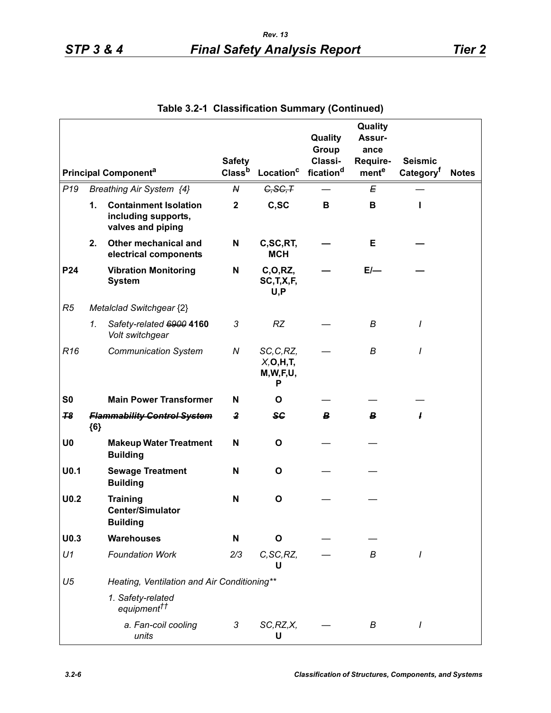|                  |                             |                                                                          | <b>Safety</b>  |                                              | Quality<br>Group<br>Classi- | Quality<br>Assur-<br>ance<br>Require- | <b>Seismic</b>        |              |
|------------------|-----------------------------|--------------------------------------------------------------------------|----------------|----------------------------------------------|-----------------------------|---------------------------------------|-----------------------|--------------|
|                  | <b>Principal Componenta</b> |                                                                          |                | Class <sup>b</sup><br>Location <sup>c</sup>  | fication <sup>d</sup>       | mente                                 | Category <sup>f</sup> | <b>Notes</b> |
| P <sub>19</sub>  |                             | Breathing Air System {4}                                                 | N              | G, SG, T                                     |                             | E                                     |                       |              |
|                  | 1.                          | <b>Containment Isolation</b><br>including supports,<br>valves and piping | $\mathbf{2}$   | C,SC                                         | B                           | B                                     | L                     |              |
|                  | 2.                          | Other mechanical and<br>electrical components                            | N              | C,SC,RT,<br><b>MCH</b>                       |                             | Е                                     |                       |              |
| P24              |                             | <b>Vibration Monitoring</b><br><b>System</b>                             | N              | C, O, RZ,<br>SC, T, X, F,<br>U, P            |                             | $E$ —                                 |                       |              |
| R5               |                             | Metalclad Switchgear {2}                                                 |                |                                              |                             |                                       |                       |              |
|                  | 1.                          | Safety-related 6900 4160<br>Volt switchgear                              | 3              | <b>RZ</b>                                    |                             | B                                     | $\prime$              |              |
| R <sub>16</sub>  |                             | <b>Communication System</b>                                              | N              | SC, C, RZ,<br>X, O, H, T<br>M, W, F, U,<br>Р |                             | В                                     | I                     |              |
| S <sub>0</sub>   |                             | <b>Main Power Transformer</b>                                            | N              | O                                            |                             |                                       |                       |              |
| 78               | ${6}$                       | <b>Flammability Control System</b>                                       | $\overline{2}$ | <b>SC</b>                                    | В.                          | В                                     | ł                     |              |
| U <sub>0</sub>   |                             | <b>Makeup Water Treatment</b><br><b>Building</b>                         | N              | O                                            |                             |                                       |                       |              |
| U <sub>0.1</sub> |                             | <b>Sewage Treatment</b><br><b>Building</b>                               | N              | O                                            |                             |                                       |                       |              |
| U <sub>0.2</sub> |                             | <b>Training</b><br><b>Center/Simulator</b><br><b>Building</b>            | $\mathsf{N}$   | $\mathbf{o}$                                 |                             |                                       |                       |              |
| U <sub>0.3</sub> |                             | <b>Warehouses</b>                                                        | N              | O                                            |                             |                                       |                       |              |
| U1               |                             | <b>Foundation Work</b>                                                   | 2/3            | C, SC, RZ,<br>U                              |                             | В                                     | I                     |              |
| U <sub>5</sub>   |                             | Heating, Ventilation and Air Conditioning**                              |                |                                              |                             |                                       |                       |              |
|                  |                             | 1. Safety-related<br>equipment <sup>††</sup>                             |                |                                              |                             |                                       |                       |              |
|                  |                             | a. Fan-coil cooling<br>units                                             | 3              | SC, RZ, X,<br>U                              |                             | В                                     |                       |              |

**Table 3.2-1 Classification Summary (Continued)**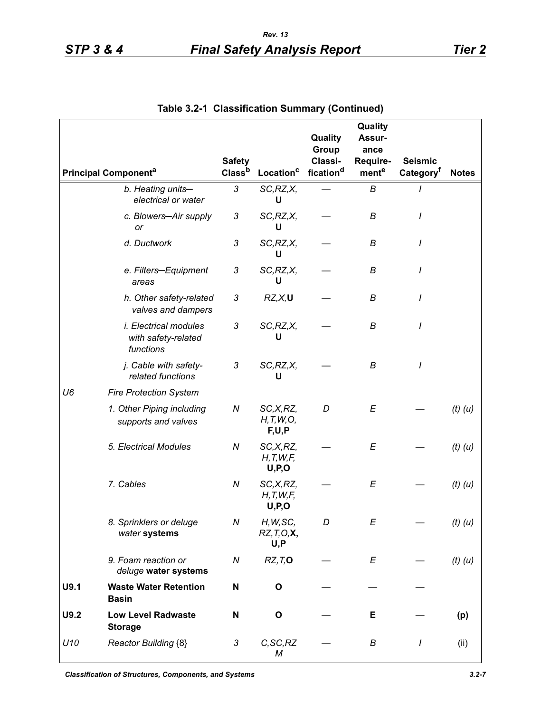|      |                                                                  |                    |                                      | Quality               | Quality<br>Assur- |                       |              |
|------|------------------------------------------------------------------|--------------------|--------------------------------------|-----------------------|-------------------|-----------------------|--------------|
|      |                                                                  |                    |                                      | Group                 | ance              |                       |              |
|      |                                                                  | <b>Safety</b>      |                                      | Classi-               | Require-          | Seismic               |              |
|      | <b>Principal Componenta</b>                                      | Class <sup>b</sup> | Location <sup>c</sup>                | fication <sup>d</sup> | mente             | Category <sup>t</sup> | <b>Notes</b> |
|      | b. Heating units-<br>electrical or water                         | 3                  | SC, RZ, X,<br>U                      |                       | B                 |                       |              |
|      | c. Blowers-Air supply<br>or                                      | 3                  | SC, RZ, X,<br>U                      |                       | B                 |                       |              |
|      | d. Ductwork                                                      | 3                  | SC, RZ, X,<br>U                      |                       | B                 |                       |              |
|      | e. Filters-Equipment<br>areas                                    | 3                  | SC, RZ, X,<br>U                      |                       | B                 |                       |              |
|      | h. Other safety-related<br>valves and dampers                    | 3                  | RZ, X, U                             |                       | В                 |                       |              |
|      | <i>i. Electrical modules</i><br>with safety-related<br>functions | 3                  | SC, RZ, X,<br>U                      |                       | В                 | I                     |              |
|      | j. Cable with safety-<br>related functions                       | 3                  | SC, RZ, X,<br>U                      |                       | B                 | I                     |              |
| U6   | <b>Fire Protection System</b>                                    |                    |                                      |                       |                   |                       |              |
|      | 1. Other Piping including<br>supports and valves                 | N                  | SC,X,RZ,<br>H, T, W, O,<br>F,U,P     | D                     | E                 |                       | $(t)$ $(u)$  |
|      | 5. Electrical Modules                                            | N                  | SC, X, RZ,<br>H, T, W, F<br>U, P, O  |                       | E                 |                       | $(t)$ $(u)$  |
|      | 7. Cables                                                        | N                  | SC,X,RZ,<br>H, T, W, F<br>U, P, O    |                       | E                 |                       | $(t)$ $(u)$  |
|      | 8. Sprinklers or deluge<br>water systems                         | Ν                  | H, W, SC,<br>$RZ, T, O, X$ ,<br>U, P | D                     | Ε                 |                       | $(t)$ $(u)$  |
|      | 9. Foam reaction or<br>deluge water systems                      | N                  | RZ, T, O                             |                       | E                 |                       | $(t)$ $(u)$  |
| U9.1 | <b>Waste Water Retention</b><br><b>Basin</b>                     | N                  | O                                    |                       |                   |                       |              |
| U9.2 | <b>Low Level Radwaste</b><br><b>Storage</b>                      | N                  | O                                    |                       | Е                 |                       | (p)          |
| U10  | <b>Reactor Building {8}</b>                                      | 3                  | C, SC, RZ<br>M                       |                       | В                 | I                     | (ii)         |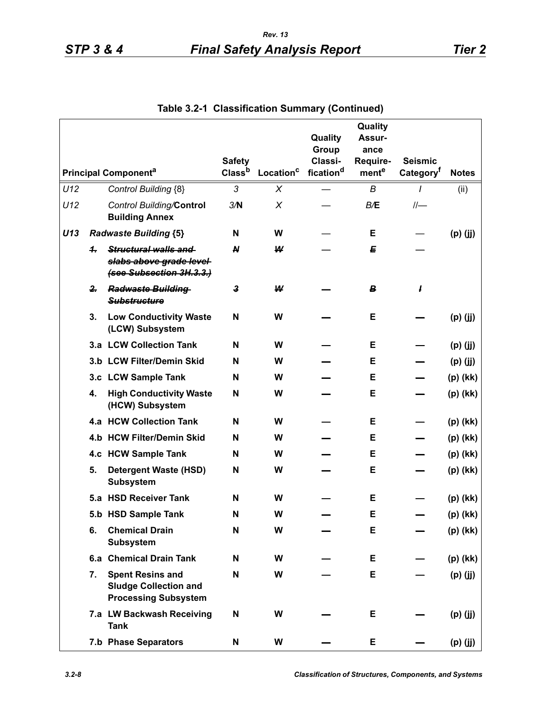|     |              |                                                                                        | <b>Safety</b>      |                       | Quality<br>Group<br>Classi- | Quality<br>Assur-<br>ance<br>Require- | <b>Seismic</b>        |              |
|-----|--------------|----------------------------------------------------------------------------------------|--------------------|-----------------------|-----------------------------|---------------------------------------|-----------------------|--------------|
|     |              | <b>Principal Component<sup>a</sup></b>                                                 | Class <sup>b</sup> | Location <sup>c</sup> | fication <sup>d</sup>       | mente                                 | Category <sup>t</sup> | <b>Notes</b> |
| U12 |              | Control Building {8}                                                                   | 3                  | X                     |                             | В                                     | 1                     | (ii)         |
| U12 |              | Control Building/Control<br><b>Building Annex</b>                                      | 3/N                | $\pmb{\times}$        |                             | B/E                                   |                       |              |
| U13 |              | <b>Radwaste Building {5}</b>                                                           | N                  | W                     |                             | Е                                     |                       | $(p)$ (jj)   |
|     | 4.           | Structural walls and<br>slabs above grade level-<br>(see Subsection 3H.3.3.)           | $\boldsymbol{N}$   | ₩                     |                             | E                                     |                       |              |
|     | $\mathbf{2}$ | <b>Radwaste Building</b><br><b>Substructure</b>                                        | 3                  | W                     |                             | B                                     | ł                     |              |
|     | 3.           | <b>Low Conductivity Waste</b><br>(LCW) Subsystem                                       | N                  | W                     |                             | Е                                     |                       | $(p)$ (jj)   |
|     |              | 3.a LCW Collection Tank                                                                | N                  | W                     |                             | Е                                     |                       | $(p)$ (jj)   |
|     |              | 3.b LCW Filter/Demin Skid                                                              | N                  | W                     |                             | Е                                     |                       | $(p)$ (jj)   |
|     |              | 3.c LCW Sample Tank                                                                    | N                  | W                     |                             | Е                                     |                       | (p) (kk)     |
|     | 4.           | <b>High Conductivity Waste</b><br>(HCW) Subsystem                                      | N                  | W                     |                             | Е                                     |                       | (p) (kk)     |
|     |              | 4.a HCW Collection Tank                                                                | N                  | W                     |                             | Е                                     |                       | (p) (kk)     |
|     |              | 4.b HCW Filter/Demin Skid                                                              | N                  | W                     |                             | Е                                     |                       | (p) (kk)     |
|     |              | 4.c HCW Sample Tank                                                                    | N                  | W                     |                             | Е                                     |                       | (p) (kk)     |
|     | 5.           | <b>Detergent Waste (HSD)</b><br><b>Subsystem</b>                                       | N                  | W                     |                             | Е                                     |                       | (p) (kk)     |
|     |              | 5.a HSD Receiver Tank                                                                  | N                  | W                     |                             | Е                                     |                       | $(p)$ (kk)   |
|     |              | 5.b HSD Sample Tank                                                                    | N                  | W                     |                             | Е                                     |                       | $(p)$ (kk)   |
|     | 6.           | <b>Chemical Drain</b><br><b>Subsystem</b>                                              | N                  | W                     |                             | E                                     |                       | (p) (kk)     |
|     |              | 6.a Chemical Drain Tank                                                                | N                  | W                     |                             | Е                                     |                       | (p) (kk)     |
|     | 7.           | <b>Spent Resins and</b><br><b>Sludge Collection and</b><br><b>Processing Subsystem</b> | N                  | W                     |                             | Е                                     |                       | $(p)$ (jj)   |
|     |              | 7.a LW Backwash Receiving<br><b>Tank</b>                                               | N                  | W                     |                             | E                                     |                       | $(p)$ (jj)   |
|     |              | 7.b Phase Separators                                                                   | N                  | W                     |                             | Е                                     |                       | $(p)$ (jj)   |

**Table 3.2-1 Classification Summary (Continued)**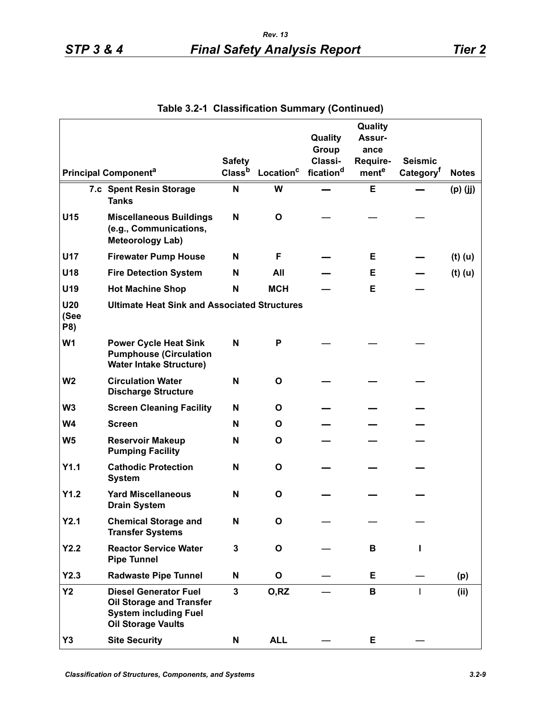|                           |                                                                                                                       | <b>Safety</b>      |                       | Quality<br>Group<br>Classi- | Quality<br>Assur-<br>ance<br>Require- | <b>Seismic</b>        |              |
|---------------------------|-----------------------------------------------------------------------------------------------------------------------|--------------------|-----------------------|-----------------------------|---------------------------------------|-----------------------|--------------|
|                           | <b>Principal Component<sup>a</sup></b>                                                                                | Class <sup>b</sup> | Location <sup>c</sup> | fication <sup>d</sup>       | mente                                 | Category <sup>f</sup> | <b>Notes</b> |
|                           | 7.c Spent Resin Storage<br><b>Tanks</b>                                                                               | N                  | W                     |                             | Е                                     |                       | $(p)$ (jj)   |
| U15                       | <b>Miscellaneous Buildings</b><br>(e.g., Communications,<br><b>Meteorology Lab)</b>                                   | N                  | O                     |                             |                                       |                       |              |
| <b>U17</b>                | <b>Firewater Pump House</b>                                                                                           | N                  | F                     |                             | Е                                     |                       | $(t)$ (u)    |
| U18                       | <b>Fire Detection System</b>                                                                                          | N                  | All                   |                             | Е                                     |                       | $(t)$ (u)    |
| U19                       | <b>Hot Machine Shop</b>                                                                                               | N                  | <b>MCH</b>            |                             | E                                     |                       |              |
| <b>U20</b><br>(See<br>P8) | <b>Ultimate Heat Sink and Associated Structures</b>                                                                   |                    |                       |                             |                                       |                       |              |
| W <sub>1</sub>            | <b>Power Cycle Heat Sink</b><br><b>Pumphouse (Circulation</b><br><b>Water Intake Structure)</b>                       | N                  | P                     |                             |                                       |                       |              |
| W <sub>2</sub>            | <b>Circulation Water</b><br><b>Discharge Structure</b>                                                                | N                  | $\mathbf{o}$          |                             |                                       |                       |              |
| W <sub>3</sub>            | <b>Screen Cleaning Facility</b>                                                                                       | N                  | 0                     |                             |                                       |                       |              |
| W <sub>4</sub>            | <b>Screen</b>                                                                                                         | N                  | O                     |                             |                                       |                       |              |
| W <sub>5</sub>            | <b>Reservoir Makeup</b><br><b>Pumping Facility</b>                                                                    | N                  | O                     |                             |                                       |                       |              |
| Y1.1                      | <b>Cathodic Protection</b><br><b>System</b>                                                                           | N                  | O                     |                             |                                       |                       |              |
| Y1.2                      | <b>Yard Miscellaneous</b><br><b>Drain System</b>                                                                      | N                  | O                     |                             |                                       |                       |              |
| Y2.1                      | <b>Chemical Storage and</b><br><b>Transfer Systems</b>                                                                | N                  | O                     |                             |                                       |                       |              |
| Y2.2                      | <b>Reactor Service Water</b><br><b>Pipe Tunnel</b>                                                                    | $\mathbf 3$        | $\mathbf{o}$          |                             | В                                     |                       |              |
| Y2.3                      | <b>Radwaste Pipe Tunnel</b>                                                                                           | N                  | O                     |                             | E                                     |                       | (p)          |
| <b>Y2</b>                 | <b>Diesel Generator Fuel</b><br>Oil Storage and Transfer<br><b>System including Fuel</b><br><b>Oil Storage Vaults</b> | $\mathbf{3}$       | O, RZ                 |                             | В                                     | $\mathbf{I}$          | (ii)         |
| Y3                        | <b>Site Security</b>                                                                                                  | N                  | <b>ALL</b>            |                             | Е                                     |                       |              |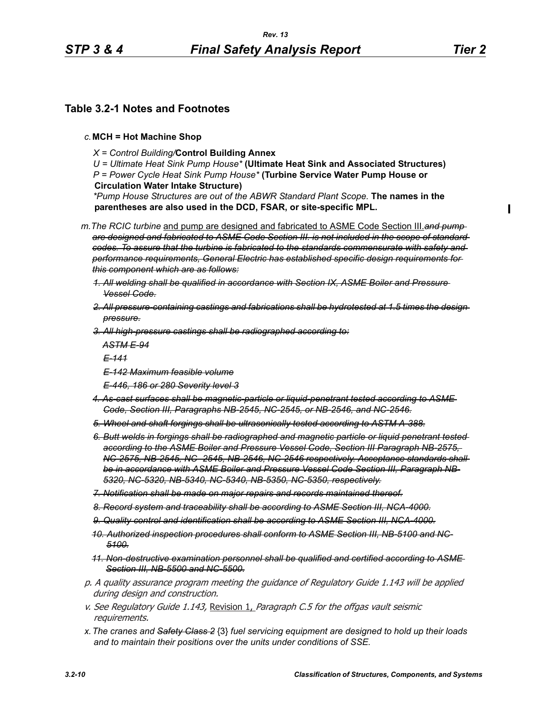## **Table 3.2-1 Notes and Footnotes**

- *c.***MCH = Hot Machine Shop**
	- *X = Control Building/***Control Building Annex**

*U = Ultimate Heat Sink Pump House\** **(Ultimate Heat Sink and Associated Structures)** *P = Power Cycle Heat Sink Pump House\** **(Turbine Service Water Pump House or Circulation Water Intake Structure)**

*\*Pump House Structures are out of the ABWR Standard Plant Scope.* **The names in the parentheses are also used in the DCD, FSAR, or site-specific MPL.**

*m.The RCIC turbine* and pump are designed and fabricated to ASME Code Section III.*and pump are designed and fabricated to ASME Code Section III. is not included in the scope of standard codes. To assure that the turbine is fabricated to the standards commensurate with safety and performance requirements, General Electric has established specific design requirements for this component which are as follows:*

- *1. All welding shall be qualified in accordance with Section IX, ASME Boiler and Pressure Vessel Code.*
- *2. All pressure-containing castings and fabrications shall be hydrotested at 1.5 times the design pressure.*
- *3. All high-pressure castings shall be radiographed according to:*

*ASTM E-94*

*E-141*

- *E-142 Maximum feasible volume*
- *E-446, 186 or 280 Severity level 3*
- *4. As-cast surfaces shall be magnetic-particle or liquid-penetrant tested according to ASME Code, Section III, Paragraphs NB-2545, NC-2545, or NB-2546, and NC-2546.*
- *5. Wheel and shaft forgings shall be ultrasonically tested according to ASTM A-388.*
- *6. Butt welds in forgings shall be radiographed and magnetic particle or liquid penetrant tested according to the ASME Boiler and Pressure Vessel Code, Section III Paragraph NB-2575, NC-2575, NB-2545, NC- 2545, NB-2546, NC-2546 respectively. Acceptance standards shall be in accordance with ASME Boiler and Pressure Vessel Code Section III, Paragraph NB-5320, NC-5320, NB-5340, NC-5340, NB-5350, NC-5350, respectively.*
- *7. Notification shall be made on major repairs and records maintained thereof.*
- *8. Record system and traceability shall be according to ASME Section III, NCA-4000.*
- *9. Quality control and identification shall be according to ASME Section III, NCA-4000.*
- *10. Authorized inspection procedures shall conform to ASME Section III, NB-5100 and NC-5100.*
- *11. Non-destructive examination personnel shall be qualified and certified according to ASME Section III, NB-5500 and NC-5500.*
- p. A quality assurance program meeting the guidance of Regulatory Guide 1.143 will be applied during design and construction.
- v. See Regulatory Guide 1.143, Revision 1, Paragraph C.5 for the offgas vault seismic requirements.
- *x.The cranes and Safety Class 2* {3} *fuel servicing equipment are designed to hold up their loads and to maintain their positions over the units under conditions of SSE.*